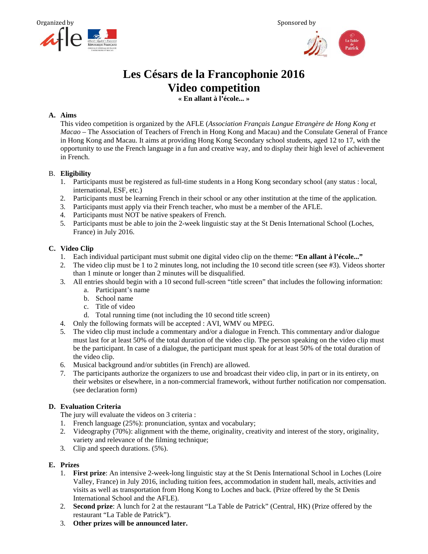



# **Les Césars de la Francophonie 2016 Video competition**

**« En allant à l'école... »** 

# **A. Aims**

This video competition is organized by the AFLE (*Association Français Langue Etrangère de Hong Kong et Macao* – The Association of Teachers of French in Hong Kong and Macau) and the Consulate General of France in Hong Kong and Macau. It aims at providing Hong Kong Secondary school students, aged 12 to 17, with the opportunity to use the French language in a fun and creative way, and to display their high level of achievement in French.

#### B. **Eligibility**

- 1. Participants must be registered as full-time students in a Hong Kong secondary school (any status : local, international, ESF, etc.)
- 2. Participants must be learning French in their school or any other institution at the time of the application.
- 3. Participants must apply via their French teacher, who must be a member of the AFLE.
- 4. Participants must NOT be native speakers of French.
- 5. Participants must be able to join the 2-week linguistic stay at the St Denis International School (Loches, France) in July 2016.

#### **C. Video Clip**

- 1. Each individual participant must submit one digital video clip on the theme: **"En allant à l'école..."**
- 2. The video clip must be 1 to 2 minutes long, not including the 10 second title screen (see #3). Videos shorter than 1 minute or longer than 2 minutes will be disqualified.
- 3. All entries should begin with a 10 second full-screen "title screen" that includes the following information:
	- a. Participant's name
	- b. School name
	- c. Title of video
	- d. Total running time (not including the 10 second title screen)
- 4. Only the following formats will be accepted : AVI, WMV ou MPEG.
- 5. The video clip must include a commentary and/or a dialogue in French. This commentary and/or dialogue must last for at least 50% of the total duration of the video clip. The person speaking on the video clip must be the participant. In case of a dialogue, the participant must speak for at least 50% of the total duration of the video clip.
- 6. Musical background and/or subtitles (in French) are allowed.
- 7. The participants authorize the organizers to use and broadcast their video clip, in part or in its entirety, on their websites or elsewhere, in a non-commercial framework, without further notification nor compensation. (see declaration form)

# **D. Evaluation Criteria**

The jury will evaluate the videos on 3 criteria :

- 1. French language (25%): pronunciation, syntax and vocabulary;
- 2. Videography (70%): alignment with the theme, originality, creativity and interest of the story, originality, variety and relevance of the filming technique;
- 3. Clip and speech durations. (5%).

# **E. Prizes**

- 1. **First prize**: An intensive 2-week-long linguistic stay at the St Denis International School in Loches (Loire Valley, France) in July 2016, including tuition fees, accommodation in student hall, meals, activities and visits as well as transportation from Hong Kong to Loches and back. (Prize offered by the St Denis International School and the AFLE).
- 2. **Second prize**: A lunch for 2 at the restaurant "La Table de Patrick" (Central, HK) (Prize offered by the restaurant "La Table de Patrick").
- 3. **Other prizes will be announced later.**